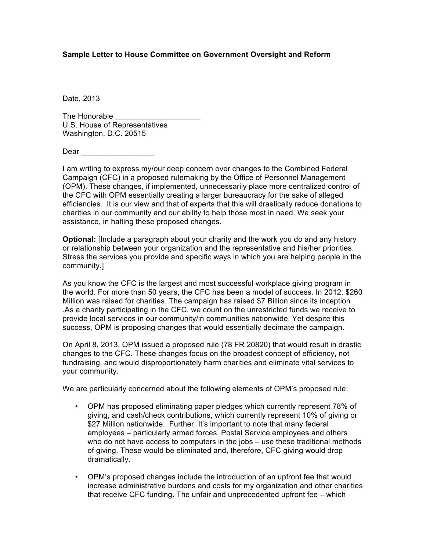## **Sample Letter to House Committee on Government Oversight and Reform**

Date, 2013

The Honorable U.S. House of Representatives Washington, D.C. 20515

Dear **and a** 

I am writing to express my/our deep concern over changes to the Combined Federal Campaign (CFC) in a proposed rulemaking by the Office of Personnel Management (OPM). These changes, if implemented, unnecessarily place more centralized control of the CFC with OPM essentially creating a larger bureaucracy for the sake of alleged efficiencies. It is our view and that of experts that this will drastically reduce donations to charities in our community and our ability to help those most in need. We seek your assistance, in halting these proposed changes.

**Optional:** [Include a paragraph about your charity and the work you do and any history or relationship between your organization and the representative and his/her priorities. Stress the services you provide and specific ways in which you are helping people in the community.]

As you know the CFC is the largest and most successful workplace giving program in the world. For more than 50 years, the CFC has been a model of success. In 2012, \$260 Million was raised for charities. The campaign has raised \$7 Billion since its inception .As a charity participating in the CFC, we count on the unrestricted funds we receive to provide local services in our community/in communities nationwide. Yet despite this success, OPM is proposing changes that would essentially decimate the campaign.

On April 8, 2013, OPM issued a proposed rule (78 FR 20820) that would result in drastic changes to the CFC. These changes focus on the broadest concept of efficiency, not fundraising, and would disproportionately harm charities and eliminate vital services to your community.

We are particularly concerned about the following elements of OPM's proposed rule:

- OPM has proposed eliminating paper pledges which currently represent 78% of giving, and cash/check contributions, which currently represent 10% of giving or \$27 Million nationwide. Further, It's important to note that many federal employees – particularly armed forces, Postal Service employees and others who do not have access to computers in the jobs – use these traditional methods of giving. These would be eliminated and, therefore, CFC giving would drop dramatically.
- OPM's proposed changes include the introduction of an upfront fee that would increase administrative burdens and costs for my organization and other charities that receive CFC funding. The unfair and unprecedented upfront fee – which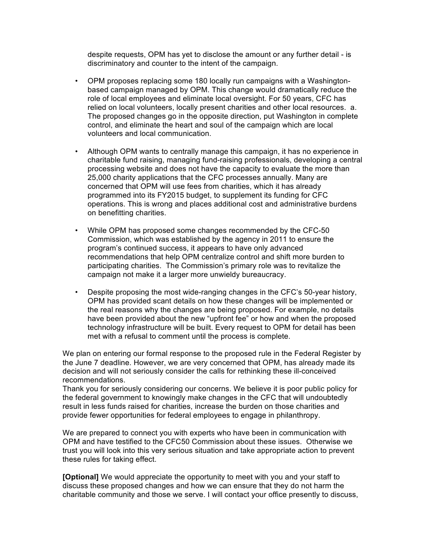despite requests, OPM has yet to disclose the amount or any further detail - is discriminatory and counter to the intent of the campaign.

- OPM proposes replacing some 180 locally run campaigns with a Washingtonbased campaign managed by OPM. This change would dramatically reduce the role of local employees and eliminate local oversight. For 50 years, CFC has relied on local volunteers, locally present charities and other local resources. a. The proposed changes go in the opposite direction, put Washington in complete control, and eliminate the heart and soul of the campaign which are local volunteers and local communication.
- Although OPM wants to centrally manage this campaign, it has no experience in charitable fund raising, managing fund-raising professionals, developing a central processing website and does not have the capacity to evaluate the more than 25,000 charity applications that the CFC processes annually. Many are concerned that OPM will use fees from charities, which it has already programmed into its FY2015 budget, to supplement its funding for CFC operations. This is wrong and places additional cost and administrative burdens on benefitting charities.
- While OPM has proposed some changes recommended by the CFC-50 Commission, which was established by the agency in 2011 to ensure the program's continued success, it appears to have only advanced recommendations that help OPM centralize control and shift more burden to participating charities. The Commission's primary role was to revitalize the campaign not make it a larger more unwieldy bureaucracy.
- Despite proposing the most wide-ranging changes in the CFC's 50-year history, OPM has provided scant details on how these changes will be implemented or the real reasons why the changes are being proposed. For example, no details have been provided about the new "upfront fee" or how and when the proposed technology infrastructure will be built. Every request to OPM for detail has been met with a refusal to comment until the process is complete.

We plan on entering our formal response to the proposed rule in the Federal Register by the June 7 deadline. However, we are very concerned that OPM, has already made its decision and will not seriously consider the calls for rethinking these ill-conceived recommendations.

Thank you for seriously considering our concerns. We believe it is poor public policy for the federal government to knowingly make changes in the CFC that will undoubtedly result in less funds raised for charities, increase the burden on those charities and provide fewer opportunities for federal employees to engage in philanthropy.

We are prepared to connect you with experts who have been in communication with OPM and have testified to the CFC50 Commission about these issues. Otherwise we trust you will look into this very serious situation and take appropriate action to prevent these rules for taking effect.

**[Optional]** We would appreciate the opportunity to meet with you and your staff to discuss these proposed changes and how we can ensure that they do not harm the charitable community and those we serve. I will contact your office presently to discuss,